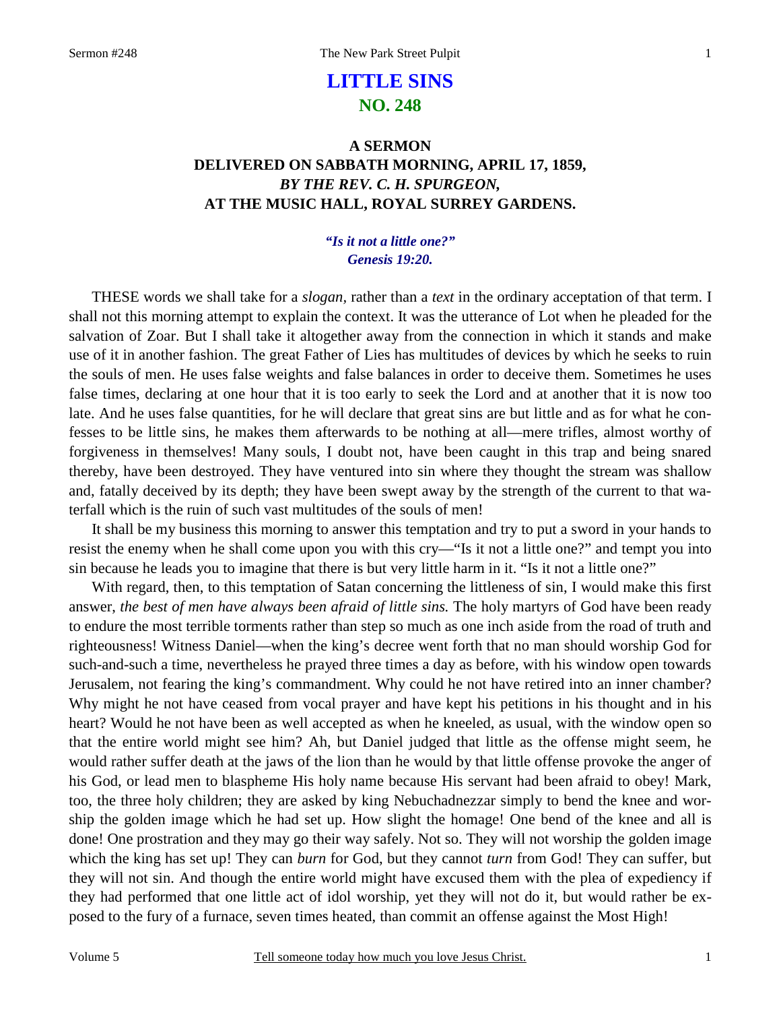# **LITTLE SINS NO. 248**

## **A SERMON DELIVERED ON SABBATH MORNING, APRIL 17, 1859,**  *BY THE REV. C. H. SPURGEON,*  **AT THE MUSIC HALL, ROYAL SURREY GARDENS.**

### *"Is it not a little one?" Genesis 19:20.*

THESE words we shall take for a *slogan,* rather than a *text* in the ordinary acceptation of that term. I shall not this morning attempt to explain the context. It was the utterance of Lot when he pleaded for the salvation of Zoar. But I shall take it altogether away from the connection in which it stands and make use of it in another fashion. The great Father of Lies has multitudes of devices by which he seeks to ruin the souls of men. He uses false weights and false balances in order to deceive them. Sometimes he uses false times, declaring at one hour that it is too early to seek the Lord and at another that it is now too late. And he uses false quantities, for he will declare that great sins are but little and as for what he confesses to be little sins, he makes them afterwards to be nothing at all—mere trifles, almost worthy of forgiveness in themselves! Many souls, I doubt not, have been caught in this trap and being snared thereby, have been destroyed. They have ventured into sin where they thought the stream was shallow and, fatally deceived by its depth; they have been swept away by the strength of the current to that waterfall which is the ruin of such vast multitudes of the souls of men!

It shall be my business this morning to answer this temptation and try to put a sword in your hands to resist the enemy when he shall come upon you with this cry—"Is it not a little one?" and tempt you into sin because he leads you to imagine that there is but very little harm in it. "Is it not a little one?"

With regard, then, to this temptation of Satan concerning the littleness of sin, I would make this first answer, *the best of men have always been afraid of little sins*. The holy martyrs of God have been ready to endure the most terrible torments rather than step so much as one inch aside from the road of truth and righteousness! Witness Daniel—when the king's decree went forth that no man should worship God for such-and-such a time, nevertheless he prayed three times a day as before, with his window open towards Jerusalem, not fearing the king's commandment. Why could he not have retired into an inner chamber? Why might he not have ceased from vocal prayer and have kept his petitions in his thought and in his heart? Would he not have been as well accepted as when he kneeled, as usual, with the window open so that the entire world might see him? Ah, but Daniel judged that little as the offense might seem, he would rather suffer death at the jaws of the lion than he would by that little offense provoke the anger of his God, or lead men to blaspheme His holy name because His servant had been afraid to obey! Mark, too, the three holy children; they are asked by king Nebuchadnezzar simply to bend the knee and worship the golden image which he had set up. How slight the homage! One bend of the knee and all is done! One prostration and they may go their way safely. Not so. They will not worship the golden image which the king has set up! They can *burn* for God, but they cannot *turn* from God! They can suffer, but they will not sin. And though the entire world might have excused them with the plea of expediency if they had performed that one little act of idol worship, yet they will not do it, but would rather be exposed to the fury of a furnace, seven times heated, than commit an offense against the Most High!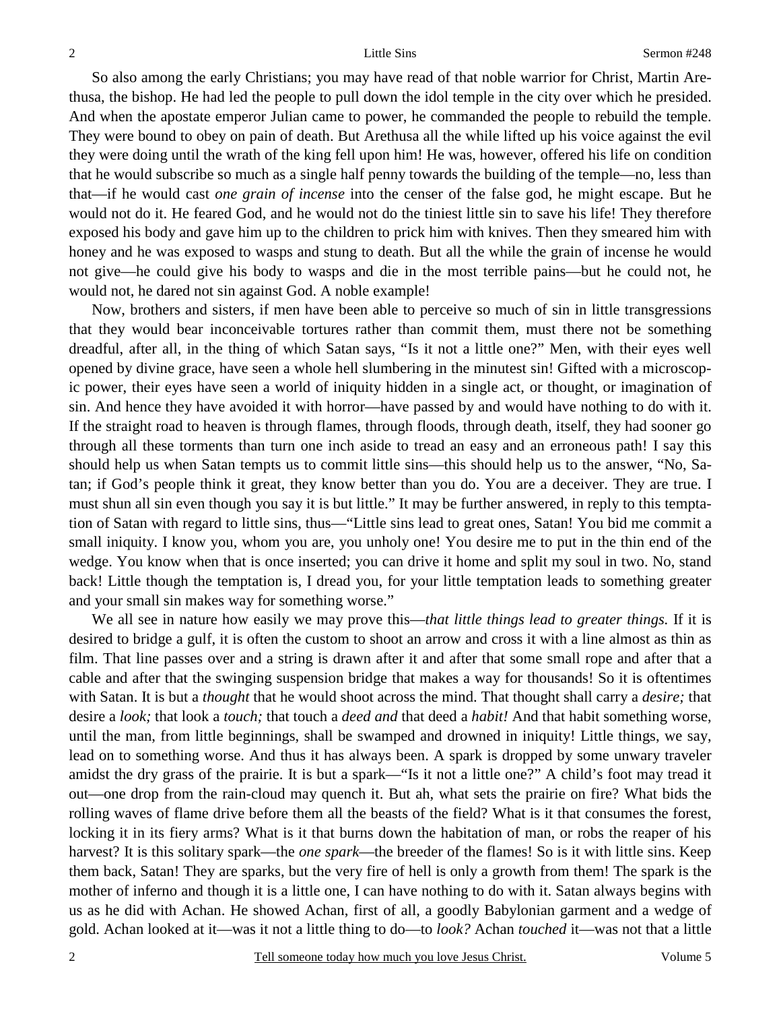So also among the early Christians; you may have read of that noble warrior for Christ, Martin Arethusa, the bishop. He had led the people to pull down the idol temple in the city over which he presided. And when the apostate emperor Julian came to power, he commanded the people to rebuild the temple. They were bound to obey on pain of death. But Arethusa all the while lifted up his voice against the evil they were doing until the wrath of the king fell upon him! He was, however, offered his life on condition that he would subscribe so much as a single half penny towards the building of the temple—no, less than that—if he would cast *one grain of incense* into the censer of the false god, he might escape. But he would not do it. He feared God, and he would not do the tiniest little sin to save his life! They therefore exposed his body and gave him up to the children to prick him with knives. Then they smeared him with honey and he was exposed to wasps and stung to death. But all the while the grain of incense he would not give—he could give his body to wasps and die in the most terrible pains—but he could not, he would not, he dared not sin against God. A noble example!

Now, brothers and sisters, if men have been able to perceive so much of sin in little transgressions that they would bear inconceivable tortures rather than commit them, must there not be something dreadful, after all, in the thing of which Satan says, "Is it not a little one?" Men, with their eyes well opened by divine grace, have seen a whole hell slumbering in the minutest sin! Gifted with a microscopic power, their eyes have seen a world of iniquity hidden in a single act, or thought, or imagination of sin. And hence they have avoided it with horror—have passed by and would have nothing to do with it. If the straight road to heaven is through flames, through floods, through death, itself, they had sooner go through all these torments than turn one inch aside to tread an easy and an erroneous path! I say this should help us when Satan tempts us to commit little sins—this should help us to the answer, "No, Satan; if God's people think it great, they know better than you do. You are a deceiver. They are true. I must shun all sin even though you say it is but little." It may be further answered, in reply to this temptation of Satan with regard to little sins, thus—"Little sins lead to great ones, Satan! You bid me commit a small iniquity. I know you, whom you are, you unholy one! You desire me to put in the thin end of the wedge. You know when that is once inserted; you can drive it home and split my soul in two. No, stand back! Little though the temptation is, I dread you, for your little temptation leads to something greater and your small sin makes way for something worse."

We all see in nature how easily we may prove this—*that little things lead to greater things.* If it is desired to bridge a gulf, it is often the custom to shoot an arrow and cross it with a line almost as thin as film. That line passes over and a string is drawn after it and after that some small rope and after that a cable and after that the swinging suspension bridge that makes a way for thousands! So it is oftentimes with Satan. It is but a *thought* that he would shoot across the mind. That thought shall carry a *desire;* that desire a *look;* that look a *touch;* that touch a *deed and* that deed a *habit!* And that habit something worse, until the man, from little beginnings, shall be swamped and drowned in iniquity! Little things, we say, lead on to something worse. And thus it has always been. A spark is dropped by some unwary traveler amidst the dry grass of the prairie. It is but a spark—"Is it not a little one?" A child's foot may tread it out—one drop from the rain-cloud may quench it. But ah, what sets the prairie on fire? What bids the rolling waves of flame drive before them all the beasts of the field? What is it that consumes the forest, locking it in its fiery arms? What is it that burns down the habitation of man, or robs the reaper of his harvest? It is this solitary spark—the *one spark*—the breeder of the flames! So is it with little sins. Keep them back, Satan! They are sparks, but the very fire of hell is only a growth from them! The spark is the mother of inferno and though it is a little one, I can have nothing to do with it. Satan always begins with us as he did with Achan. He showed Achan, first of all, a goodly Babylonian garment and a wedge of gold. Achan looked at it—was it not a little thing to do—to *look?* Achan *touched* it—was not that a little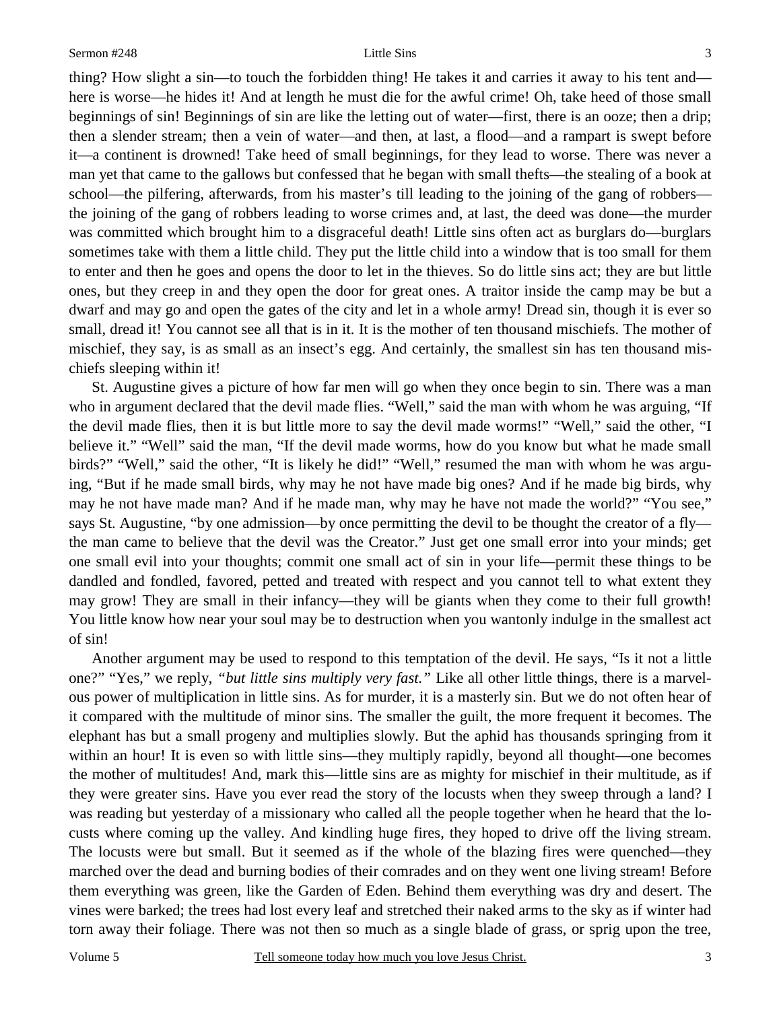thing? How slight a sin—to touch the forbidden thing! He takes it and carries it away to his tent and here is worse—he hides it! And at length he must die for the awful crime! Oh, take heed of those small beginnings of sin! Beginnings of sin are like the letting out of water—first, there is an ooze; then a drip; then a slender stream; then a vein of water—and then, at last, a flood—and a rampart is swept before it—a continent is drowned! Take heed of small beginnings, for they lead to worse. There was never a man yet that came to the gallows but confessed that he began with small thefts—the stealing of a book at school—the pilfering, afterwards, from his master's till leading to the joining of the gang of robbers the joining of the gang of robbers leading to worse crimes and, at last, the deed was done—the murder was committed which brought him to a disgraceful death! Little sins often act as burglars do—burglars sometimes take with them a little child. They put the little child into a window that is too small for them to enter and then he goes and opens the door to let in the thieves. So do little sins act; they are but little ones, but they creep in and they open the door for great ones. A traitor inside the camp may be but a dwarf and may go and open the gates of the city and let in a whole army! Dread sin, though it is ever so small, dread it! You cannot see all that is in it. It is the mother of ten thousand mischiefs. The mother of mischief, they say, is as small as an insect's egg. And certainly, the smallest sin has ten thousand mischiefs sleeping within it!

St. Augustine gives a picture of how far men will go when they once begin to sin. There was a man who in argument declared that the devil made flies. "Well," said the man with whom he was arguing, "If the devil made flies, then it is but little more to say the devil made worms!" "Well," said the other, "I believe it." "Well" said the man, "If the devil made worms, how do you know but what he made small birds?" "Well," said the other, "It is likely he did!" "Well," resumed the man with whom he was arguing, "But if he made small birds, why may he not have made big ones? And if he made big birds, why may he not have made man? And if he made man, why may he have not made the world?" "You see," says St. Augustine, "by one admission—by once permitting the devil to be thought the creator of a fly the man came to believe that the devil was the Creator." Just get one small error into your minds; get one small evil into your thoughts; commit one small act of sin in your life—permit these things to be dandled and fondled, favored, petted and treated with respect and you cannot tell to what extent they may grow! They are small in their infancy—they will be giants when they come to their full growth! You little know how near your soul may be to destruction when you wantonly indulge in the smallest act of sin!

Another argument may be used to respond to this temptation of the devil. He says, "Is it not a little one?" "Yes," we reply, *"but little sins multiply very fast."* Like all other little things, there is a marvelous power of multiplication in little sins. As for murder, it is a masterly sin. But we do not often hear of it compared with the multitude of minor sins. The smaller the guilt, the more frequent it becomes. The elephant has but a small progeny and multiplies slowly. But the aphid has thousands springing from it within an hour! It is even so with little sins—they multiply rapidly, beyond all thought—one becomes the mother of multitudes! And, mark this—little sins are as mighty for mischief in their multitude, as if they were greater sins. Have you ever read the story of the locusts when they sweep through a land? I was reading but yesterday of a missionary who called all the people together when he heard that the locusts where coming up the valley. And kindling huge fires, they hoped to drive off the living stream. The locusts were but small. But it seemed as if the whole of the blazing fires were quenched—they marched over the dead and burning bodies of their comrades and on they went one living stream! Before them everything was green, like the Garden of Eden. Behind them everything was dry and desert. The vines were barked; the trees had lost every leaf and stretched their naked arms to the sky as if winter had torn away their foliage. There was not then so much as a single blade of grass, or sprig upon the tree,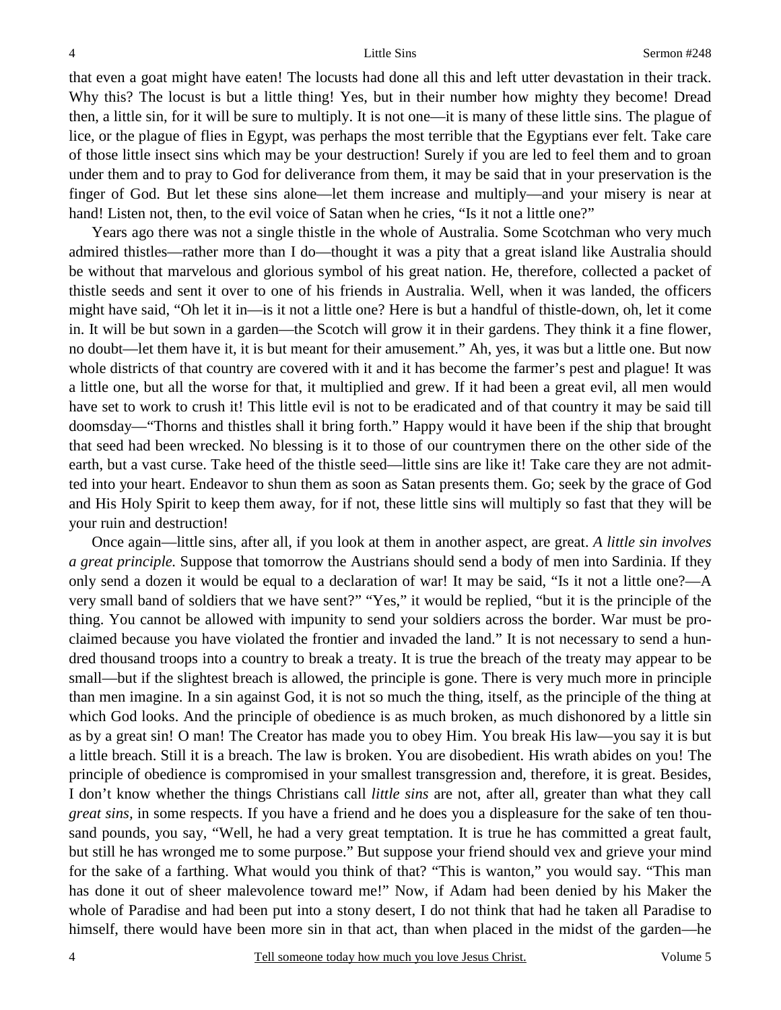that even a goat might have eaten! The locusts had done all this and left utter devastation in their track. Why this? The locust is but a little thing! Yes, but in their number how mighty they become! Dread then, a little sin, for it will be sure to multiply. It is not one—it is many of these little sins. The plague of lice, or the plague of flies in Egypt, was perhaps the most terrible that the Egyptians ever felt. Take care of those little insect sins which may be your destruction! Surely if you are led to feel them and to groan under them and to pray to God for deliverance from them, it may be said that in your preservation is the finger of God. But let these sins alone—let them increase and multiply—and your misery is near at hand! Listen not, then, to the evil voice of Satan when he cries, "Is it not a little one?"

Years ago there was not a single thistle in the whole of Australia. Some Scotchman who very much admired thistles—rather more than I do—thought it was a pity that a great island like Australia should be without that marvelous and glorious symbol of his great nation. He, therefore, collected a packet of thistle seeds and sent it over to one of his friends in Australia. Well, when it was landed, the officers might have said, "Oh let it in—is it not a little one? Here is but a handful of thistle-down, oh, let it come in. It will be but sown in a garden—the Scotch will grow it in their gardens. They think it a fine flower, no doubt—let them have it, it is but meant for their amusement." Ah, yes, it was but a little one. But now whole districts of that country are covered with it and it has become the farmer's pest and plague! It was a little one, but all the worse for that, it multiplied and grew. If it had been a great evil, all men would have set to work to crush it! This little evil is not to be eradicated and of that country it may be said till doomsday—"Thorns and thistles shall it bring forth." Happy would it have been if the ship that brought that seed had been wrecked. No blessing is it to those of our countrymen there on the other side of the earth, but a vast curse. Take heed of the thistle seed—little sins are like it! Take care they are not admitted into your heart. Endeavor to shun them as soon as Satan presents them. Go; seek by the grace of God and His Holy Spirit to keep them away, for if not, these little sins will multiply so fast that they will be your ruin and destruction!

Once again—little sins, after all, if you look at them in another aspect, are great. *A little sin involves a great principle.* Suppose that tomorrow the Austrians should send a body of men into Sardinia. If they only send a dozen it would be equal to a declaration of war! It may be said, "Is it not a little one?—A very small band of soldiers that we have sent?" "Yes," it would be replied, "but it is the principle of the thing. You cannot be allowed with impunity to send your soldiers across the border. War must be proclaimed because you have violated the frontier and invaded the land." It is not necessary to send a hundred thousand troops into a country to break a treaty. It is true the breach of the treaty may appear to be small—but if the slightest breach is allowed, the principle is gone. There is very much more in principle than men imagine. In a sin against God, it is not so much the thing, itself, as the principle of the thing at which God looks. And the principle of obedience is as much broken, as much dishonored by a little sin as by a great sin! O man! The Creator has made you to obey Him. You break His law—you say it is but a little breach. Still it is a breach. The law is broken. You are disobedient. His wrath abides on you! The principle of obedience is compromised in your smallest transgression and, therefore, it is great. Besides, I don't know whether the things Christians call *little sins* are not, after all, greater than what they call *great sins,* in some respects. If you have a friend and he does you a displeasure for the sake of ten thousand pounds, you say, "Well, he had a very great temptation. It is true he has committed a great fault, but still he has wronged me to some purpose." But suppose your friend should vex and grieve your mind for the sake of a farthing. What would you think of that? "This is wanton," you would say. "This man has done it out of sheer malevolence toward me!" Now, if Adam had been denied by his Maker the whole of Paradise and had been put into a stony desert, I do not think that had he taken all Paradise to himself, there would have been more sin in that act, than when placed in the midst of the garden—he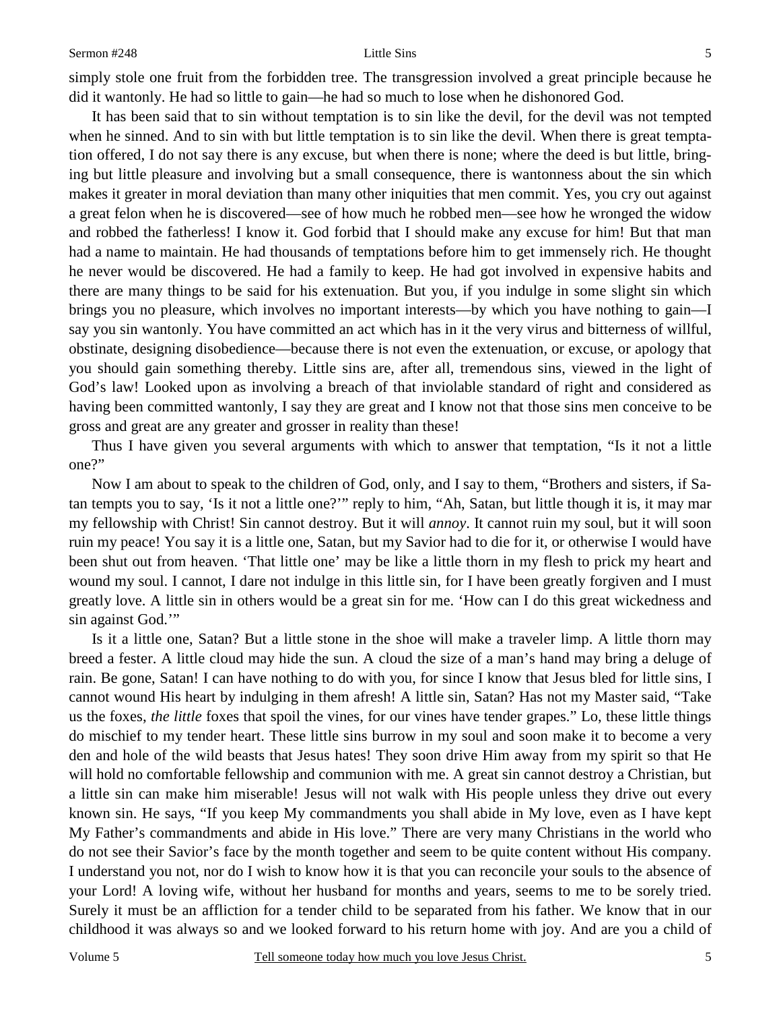5

simply stole one fruit from the forbidden tree. The transgression involved a great principle because he did it wantonly. He had so little to gain—he had so much to lose when he dishonored God.

It has been said that to sin without temptation is to sin like the devil, for the devil was not tempted when he sinned. And to sin with but little temptation is to sin like the devil. When there is great temptation offered, I do not say there is any excuse, but when there is none; where the deed is but little, bringing but little pleasure and involving but a small consequence, there is wantonness about the sin which makes it greater in moral deviation than many other iniquities that men commit. Yes, you cry out against a great felon when he is discovered—see of how much he robbed men—see how he wronged the widow and robbed the fatherless! I know it. God forbid that I should make any excuse for him! But that man had a name to maintain. He had thousands of temptations before him to get immensely rich. He thought he never would be discovered. He had a family to keep. He had got involved in expensive habits and there are many things to be said for his extenuation. But you, if you indulge in some slight sin which brings you no pleasure, which involves no important interests—by which you have nothing to gain—I say you sin wantonly. You have committed an act which has in it the very virus and bitterness of willful, obstinate, designing disobedience—because there is not even the extenuation, or excuse, or apology that you should gain something thereby. Little sins are, after all, tremendous sins, viewed in the light of God's law! Looked upon as involving a breach of that inviolable standard of right and considered as having been committed wantonly, I say they are great and I know not that those sins men conceive to be gross and great are any greater and grosser in reality than these!

Thus I have given you several arguments with which to answer that temptation, "Is it not a little one?"

Now I am about to speak to the children of God, only, and I say to them, "Brothers and sisters, if Satan tempts you to say, 'Is it not a little one?'" reply to him, "Ah, Satan, but little though it is, it may mar my fellowship with Christ! Sin cannot destroy. But it will *annoy*. It cannot ruin my soul, but it will soon ruin my peace! You say it is a little one, Satan, but my Savior had to die for it, or otherwise I would have been shut out from heaven. 'That little one' may be like a little thorn in my flesh to prick my heart and wound my soul. I cannot, I dare not indulge in this little sin, for I have been greatly forgiven and I must greatly love. A little sin in others would be a great sin for me. 'How can I do this great wickedness and sin against God."

Is it a little one, Satan? But a little stone in the shoe will make a traveler limp. A little thorn may breed a fester. A little cloud may hide the sun. A cloud the size of a man's hand may bring a deluge of rain. Be gone, Satan! I can have nothing to do with you, for since I know that Jesus bled for little sins, I cannot wound His heart by indulging in them afresh! A little sin, Satan? Has not my Master said, "Take us the foxes, *the little* foxes that spoil the vines, for our vines have tender grapes." Lo, these little things do mischief to my tender heart. These little sins burrow in my soul and soon make it to become a very den and hole of the wild beasts that Jesus hates! They soon drive Him away from my spirit so that He will hold no comfortable fellowship and communion with me. A great sin cannot destroy a Christian, but a little sin can make him miserable! Jesus will not walk with His people unless they drive out every known sin. He says, "If you keep My commandments you shall abide in My love, even as I have kept My Father's commandments and abide in His love." There are very many Christians in the world who do not see their Savior's face by the month together and seem to be quite content without His company. I understand you not, nor do I wish to know how it is that you can reconcile your souls to the absence of your Lord! A loving wife, without her husband for months and years, seems to me to be sorely tried. Surely it must be an affliction for a tender child to be separated from his father. We know that in our childhood it was always so and we looked forward to his return home with joy. And are you a child of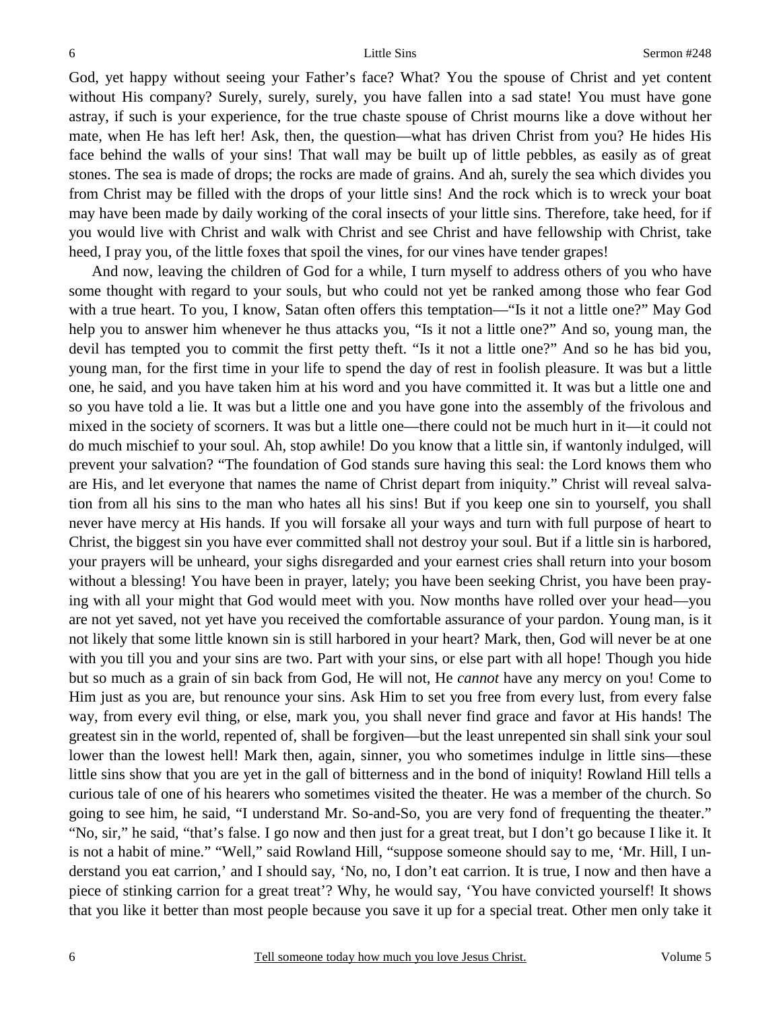God, yet happy without seeing your Father's face? What? You the spouse of Christ and yet content without His company? Surely, surely, surely, you have fallen into a sad state! You must have gone astray, if such is your experience, for the true chaste spouse of Christ mourns like a dove without her mate, when He has left her! Ask, then, the question—what has driven Christ from you? He hides His face behind the walls of your sins! That wall may be built up of little pebbles, as easily as of great stones. The sea is made of drops; the rocks are made of grains. And ah, surely the sea which divides you from Christ may be filled with the drops of your little sins! And the rock which is to wreck your boat may have been made by daily working of the coral insects of your little sins. Therefore, take heed, for if you would live with Christ and walk with Christ and see Christ and have fellowship with Christ, take heed, I pray you, of the little foxes that spoil the vines, for our vines have tender grapes!

And now, leaving the children of God for a while, I turn myself to address others of you who have some thought with regard to your souls, but who could not yet be ranked among those who fear God with a true heart. To you, I know, Satan often offers this temptation—"Is it not a little one?" May God help you to answer him whenever he thus attacks you, "Is it not a little one?" And so, young man, the devil has tempted you to commit the first petty theft. "Is it not a little one?" And so he has bid you, young man, for the first time in your life to spend the day of rest in foolish pleasure. It was but a little one, he said, and you have taken him at his word and you have committed it. It was but a little one and so you have told a lie. It was but a little one and you have gone into the assembly of the frivolous and mixed in the society of scorners. It was but a little one—there could not be much hurt in it—it could not do much mischief to your soul. Ah, stop awhile! Do you know that a little sin, if wantonly indulged, will prevent your salvation? "The foundation of God stands sure having this seal: the Lord knows them who are His, and let everyone that names the name of Christ depart from iniquity." Christ will reveal salvation from all his sins to the man who hates all his sins! But if you keep one sin to yourself, you shall never have mercy at His hands. If you will forsake all your ways and turn with full purpose of heart to Christ, the biggest sin you have ever committed shall not destroy your soul. But if a little sin is harbored, your prayers will be unheard, your sighs disregarded and your earnest cries shall return into your bosom without a blessing! You have been in prayer, lately; you have been seeking Christ, you have been praying with all your might that God would meet with you. Now months have rolled over your head—you are not yet saved, not yet have you received the comfortable assurance of your pardon. Young man, is it not likely that some little known sin is still harbored in your heart? Mark, then, God will never be at one with you till you and your sins are two. Part with your sins, or else part with all hope! Though you hide but so much as a grain of sin back from God, He will not, He *cannot* have any mercy on you! Come to Him just as you are, but renounce your sins. Ask Him to set you free from every lust, from every false way, from every evil thing, or else, mark you, you shall never find grace and favor at His hands! The greatest sin in the world, repented of, shall be forgiven—but the least unrepented sin shall sink your soul lower than the lowest hell! Mark then, again, sinner, you who sometimes indulge in little sins—these little sins show that you are yet in the gall of bitterness and in the bond of iniquity! Rowland Hill tells a curious tale of one of his hearers who sometimes visited the theater. He was a member of the church. So going to see him, he said, "I understand Mr. So-and-So, you are very fond of frequenting the theater." "No, sir," he said, "that's false. I go now and then just for a great treat, but I don't go because I like it. It is not a habit of mine." "Well," said Rowland Hill, "suppose someone should say to me, 'Mr. Hill, I understand you eat carrion,' and I should say, 'No, no, I don't eat carrion. It is true, I now and then have a piece of stinking carrion for a great treat'? Why, he would say, 'You have convicted yourself! It shows that you like it better than most people because you save it up for a special treat. Other men only take it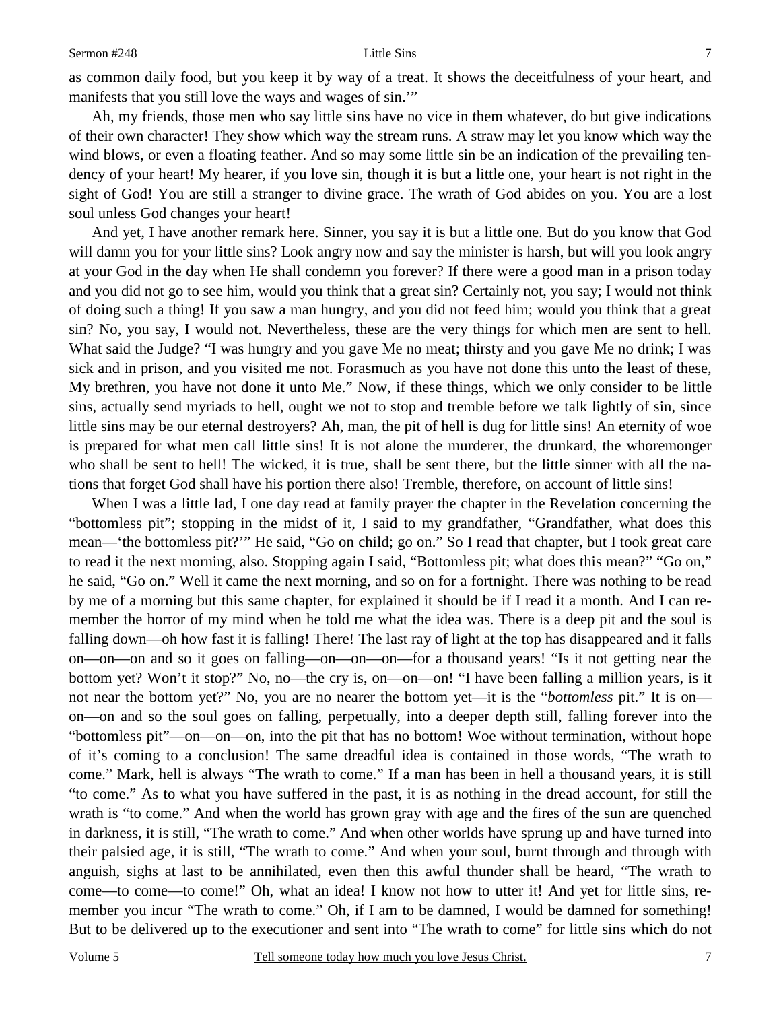as common daily food, but you keep it by way of a treat. It shows the deceitfulness of your heart, and manifests that you still love the ways and wages of sin.'"

Ah, my friends, those men who say little sins have no vice in them whatever, do but give indications of their own character! They show which way the stream runs. A straw may let you know which way the wind blows, or even a floating feather. And so may some little sin be an indication of the prevailing tendency of your heart! My hearer, if you love sin, though it is but a little one, your heart is not right in the sight of God! You are still a stranger to divine grace. The wrath of God abides on you. You are a lost soul unless God changes your heart!

And yet, I have another remark here. Sinner, you say it is but a little one. But do you know that God will damn you for your little sins? Look angry now and say the minister is harsh, but will you look angry at your God in the day when He shall condemn you forever? If there were a good man in a prison today and you did not go to see him, would you think that a great sin? Certainly not, you say; I would not think of doing such a thing! If you saw a man hungry, and you did not feed him; would you think that a great sin? No, you say, I would not. Nevertheless, these are the very things for which men are sent to hell. What said the Judge? "I was hungry and you gave Me no meat; thirsty and you gave Me no drink; I was sick and in prison, and you visited me not. Forasmuch as you have not done this unto the least of these, My brethren, you have not done it unto Me." Now, if these things, which we only consider to be little sins, actually send myriads to hell, ought we not to stop and tremble before we talk lightly of sin, since little sins may be our eternal destroyers? Ah, man, the pit of hell is dug for little sins! An eternity of woe is prepared for what men call little sins! It is not alone the murderer, the drunkard, the whoremonger who shall be sent to hell! The wicked, it is true, shall be sent there, but the little sinner with all the nations that forget God shall have his portion there also! Tremble, therefore, on account of little sins!

When I was a little lad, I one day read at family prayer the chapter in the Revelation concerning the "bottomless pit"; stopping in the midst of it, I said to my grandfather, "Grandfather, what does this mean—'the bottomless pit?'" He said, "Go on child; go on." So I read that chapter, but I took great care to read it the next morning, also. Stopping again I said, "Bottomless pit; what does this mean?" "Go on," he said, "Go on." Well it came the next morning, and so on for a fortnight. There was nothing to be read by me of a morning but this same chapter, for explained it should be if I read it a month. And I can remember the horror of my mind when he told me what the idea was. There is a deep pit and the soul is falling down—oh how fast it is falling! There! The last ray of light at the top has disappeared and it falls on—on—on and so it goes on falling—on—on—on—for a thousand years! "Is it not getting near the bottom yet? Won't it stop?" No, no—the cry is, on—on—on! "I have been falling a million years, is it not near the bottom yet?" No, you are no nearer the bottom yet—it is the "*bottomless* pit." It is on on—on and so the soul goes on falling, perpetually, into a deeper depth still, falling forever into the "bottomless pit"—on—on—on, into the pit that has no bottom! Woe without termination, without hope of it's coming to a conclusion! The same dreadful idea is contained in those words, "The wrath to come." Mark, hell is always "The wrath to come." If a man has been in hell a thousand years, it is still "to come." As to what you have suffered in the past, it is as nothing in the dread account, for still the wrath is "to come." And when the world has grown gray with age and the fires of the sun are quenched in darkness, it is still, "The wrath to come." And when other worlds have sprung up and have turned into their palsied age, it is still, "The wrath to come." And when your soul, burnt through and through with anguish, sighs at last to be annihilated, even then this awful thunder shall be heard, "The wrath to come—to come—to come!" Oh, what an idea! I know not how to utter it! And yet for little sins, remember you incur "The wrath to come." Oh, if I am to be damned, I would be damned for something! But to be delivered up to the executioner and sent into "The wrath to come" for little sins which do not